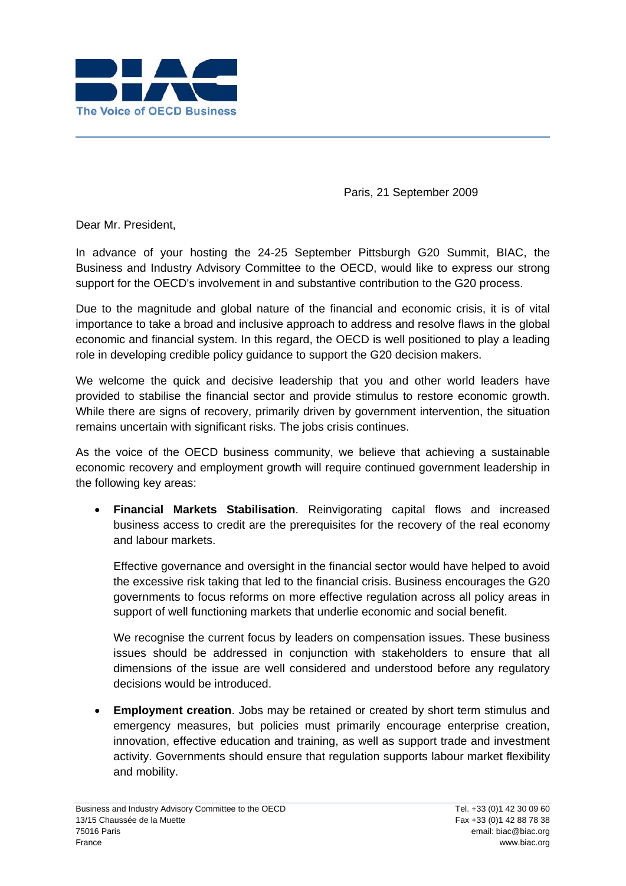

Paris, 21 September 2009

Dear Mr. President,

In advance of your hosting the 24-25 September Pittsburgh G20 Summit, BIAC, the Business and Industry Advisory Committee to the OECD, would like to express our strong support for the OECD's involvement in and substantive contribution to the G20 process.

Due to the magnitude and global nature of the financial and economic crisis, it is of vital importance to take a broad and inclusive approach to address and resolve flaws in the global economic and financial system. In this regard, the OECD is well positioned to play a leading role in developing credible policy guidance to support the G20 decision makers.

We welcome the quick and decisive leadership that you and other world leaders have provided to stabilise the financial sector and provide stimulus to restore economic growth. While there are signs of recovery, primarily driven by government intervention, the situation remains uncertain with significant risks. The jobs crisis continues.

As the voice of the OECD business community, we believe that achieving a sustainable economic recovery and employment growth will require continued government leadership in the following key areas:

• **Financial Markets Stabilisation**. Reinvigorating capital flows and increased business access to credit are the prerequisites for the recovery of the real economy and labour markets.

Effective governance and oversight in the financial sector would have helped to avoid the excessive risk taking that led to the financial crisis. Business encourages the G20 governments to focus reforms on more effective regulation across all policy areas in support of well functioning markets that underlie economic and social benefit.

We recognise the current focus by leaders on compensation issues. These business issues should be addressed in conjunction with stakeholders to ensure that all dimensions of the issue are well considered and understood before any regulatory decisions would be introduced.

• **Employment creation**. Jobs may be retained or created by short term stimulus and emergency measures, but policies must primarily encourage enterprise creation, innovation, effective education and training, as well as support trade and investment activity. Governments should ensure that regulation supports labour market flexibility and mobility.